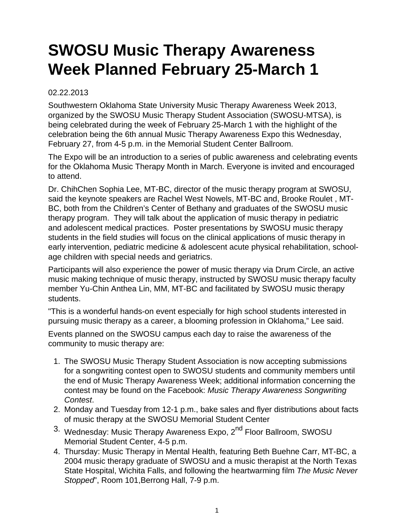## **SWOSU Music Therapy Awareness Week Planned February 25-March 1**

## 02.22.2013

Southwestern Oklahoma State University Music Therapy Awareness Week 2013, organized by the SWOSU Music Therapy Student Association (SWOSU-MTSA), is being celebrated during the week of February 25-March 1 with the highlight of the celebration being the 6th annual Music Therapy Awareness Expo this Wednesday, February 27, from 4-5 p.m. in the Memorial Student Center Ballroom.

The Expo will be an introduction to a series of public awareness and celebrating events for the Oklahoma Music Therapy Month in March. Everyone is invited and encouraged to attend.

Dr. ChihChen Sophia Lee, MT-BC, director of the music therapy program at SWOSU, said the keynote speakers are Rachel West Nowels, MT-BC and, Brooke Roulet , MT-BC, both from the Children's Center of Bethany and graduates of the SWOSU music therapy program. They will talk about the application of music therapy in pediatric and adolescent medical practices. Poster presentations by SWOSU music therapy students in the field studies will focus on the clinical applications of music therapy in early intervention, pediatric medicine & adolescent acute physical rehabilitation, schoolage children with special needs and geriatrics.

Participants will also experience the power of music therapy via Drum Circle, an active music making technique of music therapy, instructed by SWOSU music therapy faculty member Yu-Chin Anthea Lin, MM, MT-BC and facilitated by SWOSU music therapy students.

"This is a wonderful hands-on event especially for high school students interested in pursuing music therapy as a career, a blooming profession in Oklahoma," Lee said.

Events planned on the SWOSU campus each day to raise the awareness of the community to music therapy are:

- 1. The SWOSU Music Therapy Student Association is now accepting submissions for a songwriting contest open to SWOSU students and community members until the end of Music Therapy Awareness Week; additional information concerning the contest may be found on the Facebook: Music Therapy Awareness Songwriting Contest.
- 2. Monday and Tuesday from 12-1 p.m., bake sales and flyer distributions about facts of music therapy at the SWOSU Memorial Student Center
- 3. Wednesday: Music Therapy Awareness Expo, 2<sup>nd</sup> Floor Ballroom, SWOSU Memorial Student Center, 4-5 p.m.
- 4. Thursday: Music Therapy in Mental Health, featuring Beth Buehne Carr, MT-BC, a 2004 music therapy graduate of SWOSU and a music therapist at the North Texas State Hospital, Wichita Falls, and following the heartwarming film The Music Never Stopped", Room 101, Berrong Hall, 7-9 p.m.